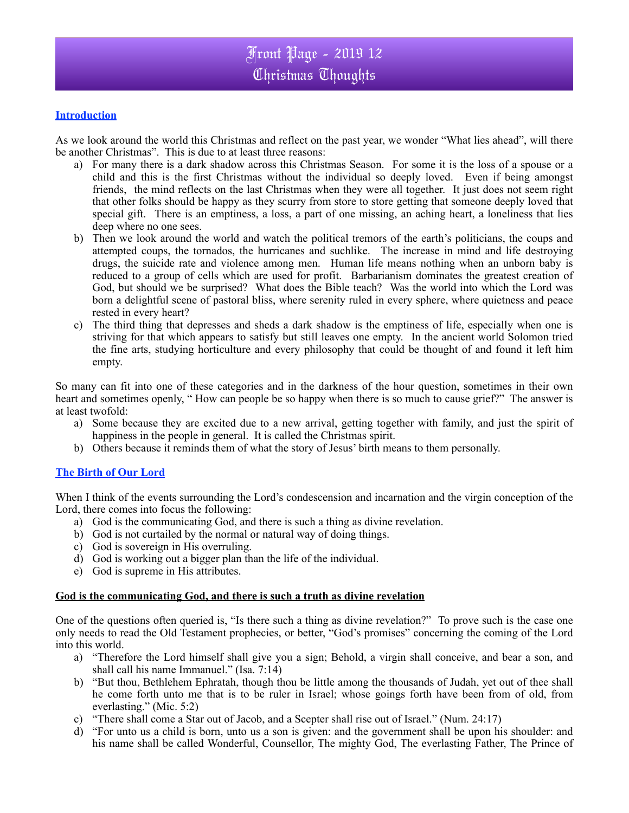### **Introduction**

As we look around the world this Christmas and reflect on the past year, we wonder "What lies ahead", will there be another Christmas". This is due to at least three reasons:

- a) For many there is a dark shadow across this Christmas Season. For some it is the loss of a spouse or a child and this is the first Christmas without the individual so deeply loved. Even if being amongst friends, the mind reflects on the last Christmas when they were all together. It just does not seem right that other folks should be happy as they scurry from store to store getting that someone deeply loved that special gift. There is an emptiness, a loss, a part of one missing, an aching heart, a loneliness that lies deep where no one sees.
- b) Then we look around the world and watch the political tremors of the earth's politicians, the coups and attempted coups, the tornados, the hurricanes and suchlike. The increase in mind and life destroying drugs, the suicide rate and violence among men. Human life means nothing when an unborn baby is reduced to a group of cells which are used for profit. Barbarianism dominates the greatest creation of God, but should we be surprised? What does the Bible teach? Was the world into which the Lord was born a delightful scene of pastoral bliss, where serenity ruled in every sphere, where quietness and peace rested in every heart?
- c) The third thing that depresses and sheds a dark shadow is the emptiness of life, especially when one is striving for that which appears to satisfy but still leaves one empty. In the ancient world Solomon tried the fine arts, studying horticulture and every philosophy that could be thought of and found it left him empty.

So many can fit into one of these categories and in the darkness of the hour question, sometimes in their own heart and sometimes openly, " How can people be so happy when there is so much to cause grief?" The answer is at least twofold:

- a) Some because they are excited due to a new arrival, getting together with family, and just the spirit of happiness in the people in general. It is called the Christmas spirit.
- b) Others because it reminds them of what the story of Jesus' birth means to them personally.

#### **The Birth of Our Lord**

When I think of the events surrounding the Lord's condescension and incarnation and the virgin conception of the Lord, there comes into focus the following:

- a) God is the communicating God, and there is such a thing as divine revelation.
- b) God is not curtailed by the normal or natural way of doing things.
- c) God is sovereign in His overruling.
- d) God is working out a bigger plan than the life of the individual.
- e) God is supreme in His attributes.

#### **God is the communicating God, and there is such a truth as divine revelation**

One of the questions often queried is, "Is there such a thing as divine revelation?" To prove such is the case one only needs to read the Old Testament prophecies, or better, "God's promises" concerning the coming of the Lord into this world.

- a) "Therefore the Lord himself shall give you a sign; Behold, a virgin shall conceive, and bear a son, and shall call his name Immanuel." (Isa. 7:14)
- b) "But thou, Bethlehem Ephratah, though thou be little among the thousands of Judah, yet out of thee shall he come forth unto me that is to be ruler in Israel; whose goings forth have been from of old, from everlasting." (Mic. 5:2)
- c) "There shall come a Star out of Jacob, and a Scepter shall rise out of Israel." (Num. 24:17)
- d) "For unto us a child is born, unto us a son is given: and the government shall be upon his shoulder: and his name shall be called Wonderful, Counsellor, The mighty God, The everlasting Father, The Prince of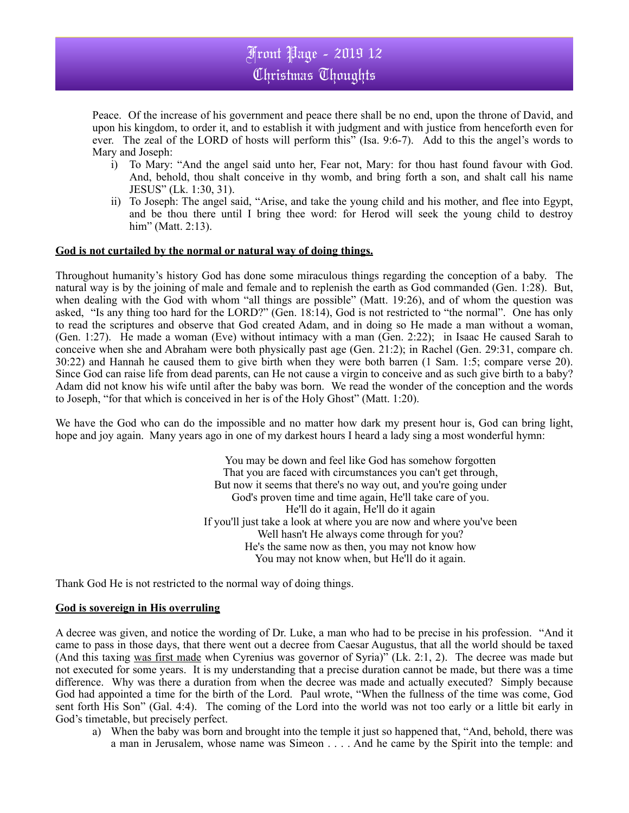# Front Page - 2019 12 Christmas Thoughts

Peace. Of the increase of his government and peace there shall be no end, upon the throne of David, and upon his kingdom, to order it, and to establish it with judgment and with justice from henceforth even for ever. The zeal of the LORD of hosts will perform this" (Isa. 9:6-7). Add to this the angel's words to Mary and Joseph:

- i) To Mary: "And the angel said unto her, Fear not, Mary: for thou hast found favour with God. And, behold, thou shalt conceive in thy womb, and bring forth a son, and shalt call his name JESUS" (Lk. 1:30, 31).
- ii) To Joseph: The angel said, "Arise, and take the young child and his mother, and flee into Egypt, and be thou there until I bring thee word: for Herod will seek the young child to destroy him" (Matt. 2:13).

#### **God is not curtailed by the normal or natural way of doing things.**

Throughout humanity's history God has done some miraculous things regarding the conception of a baby. The natural way is by the joining of male and female and to replenish the earth as God commanded (Gen. 1:28). But, when dealing with the God with whom "all things are possible" (Matt. 19:26), and of whom the question was asked, "Is any thing too hard for the LORD?" (Gen. 18:14), God is not restricted to "the normal". One has only to read the scriptures and observe that God created Adam, and in doing so He made a man without a woman, (Gen. 1:27). He made a woman (Eve) without intimacy with a man (Gen. 2:22); in Isaac He caused Sarah to conceive when she and Abraham were both physically past age (Gen. 21:2); in Rachel (Gen. 29:31, compare ch. 30:22) and Hannah he caused them to give birth when they were both barren (1 Sam. 1:5; compare verse 20). Since God can raise life from dead parents, can He not cause a virgin to conceive and as such give birth to a baby? Adam did not know his wife until after the baby was born. We read the wonder of the conception and the words to Joseph, "for that which is conceived in her is of the Holy Ghost" (Matt. 1:20).

We have the God who can do the impossible and no matter how dark my present hour is, God can bring light, hope and joy again. Many years ago in one of my darkest hours I heard a lady sing a most wonderful hymn:

> You may be down and feel like God has somehow forgotten That you are faced with circumstances you can't get through, But now it seems that there's no way out, and you're going under God's proven time and time again, He'll take care of you. He'll do it again, He'll do it again If you'll just take a look at where you are now and where you've been Well hasn't He always come through for you? He's the same now as then, you may not know how You may not know when, but He'll do it again.

Thank God He is not restricted to the normal way of doing things.

#### **God is sovereign in His overruling**

A decree was given, and notice the wording of Dr. Luke, a man who had to be precise in his profession. "And it came to pass in those days, that there went out a decree from Caesar Augustus, that all the world should be taxed (And this taxing was first made when Cyrenius was governor of Syria)" (Lk. 2:1, 2). The decree was made but not executed for some years. It is my understanding that a precise duration cannot be made, but there was a time difference. Why was there a duration from when the decree was made and actually executed? Simply because God had appointed a time for the birth of the Lord. Paul wrote, "When the fullness of the time was come, God sent forth His Son" (Gal. 4:4). The coming of the Lord into the world was not too early or a little bit early in God's timetable, but precisely perfect.

a) When the baby was born and brought into the temple it just so happened that, "And, behold, there was a man in Jerusalem, whose name was Simeon . . . . And he came by the Spirit into the temple: and